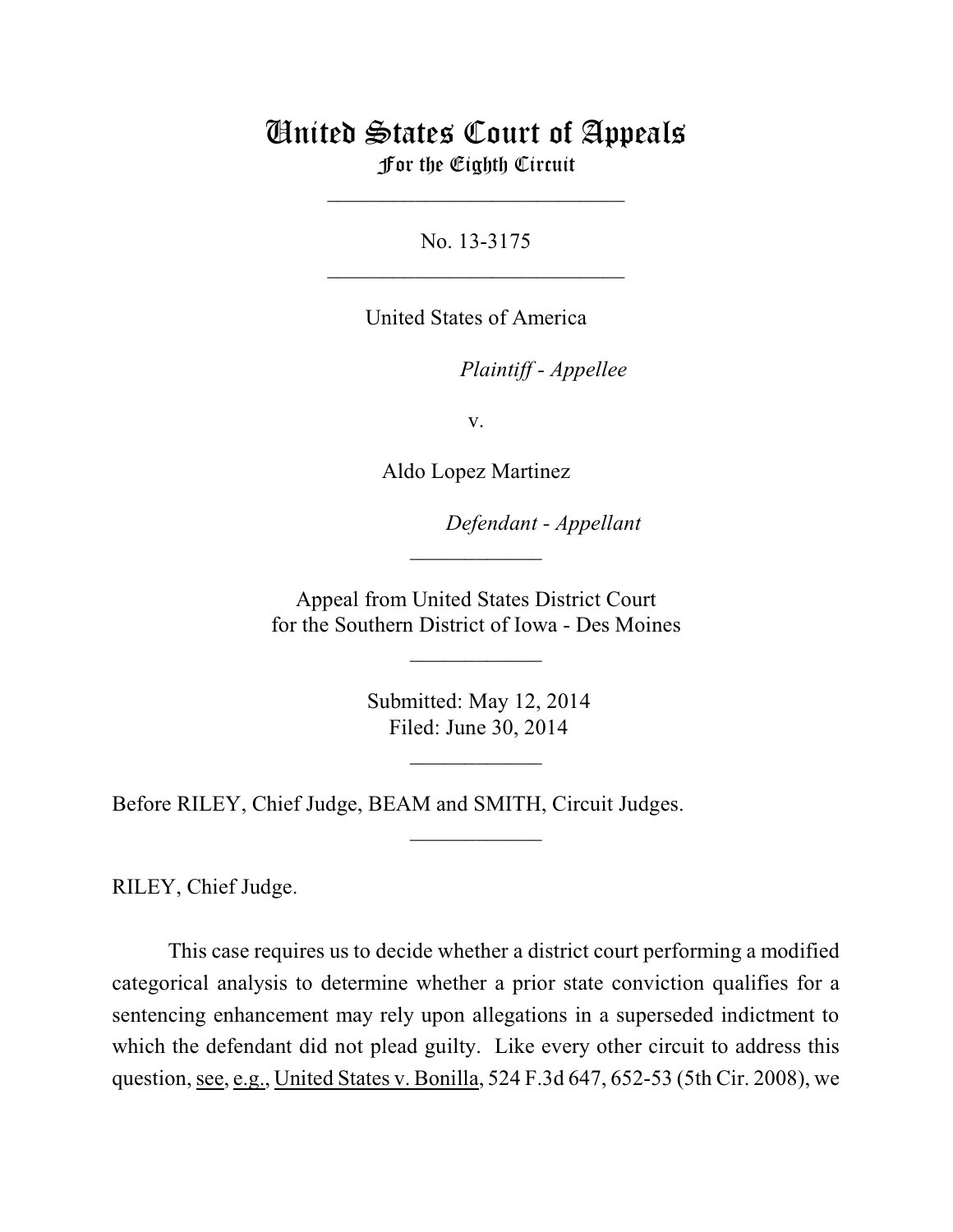## United States Court of Appeals For the Eighth Circuit

\_\_\_\_\_\_\_\_\_\_\_\_\_\_\_\_\_\_\_\_\_\_\_\_\_\_\_

No. 13-3175  $\mathcal{L}_\text{max}$  , which is a set of the set of the set of the set of the set of the set of the set of the set of the set of the set of the set of the set of the set of the set of the set of the set of the set of the set of

United States of America

Plaintiff - Appellee

v.

Aldo Lopez Martinez

lllllllllllllllllllll *Defendant - Appellant*

 Appeal from United States District Court for the Southern District of Iowa - Des Moines

\_\_\_\_\_\_\_\_\_\_\_\_

 $\frac{1}{2}$ 

 Submitted: May 12, 2014 Filed: June 30, 2014

 $\frac{1}{2}$ 

 $\overline{\phantom{a}}$  , where  $\overline{\phantom{a}}$ 

Before RILEY, Chief Judge, BEAM and SMITH, Circuit Judges.

RILEY, Chief Judge.

This case requires us to decide whether a district court performing a modified categorical analysis to determine whether a prior state conviction qualifies for a sentencing enhancement may rely upon allegations in a superseded indictment to which the defendant did not plead guilty. Like every other circuit to address this question, see, e.g., United States v. Bonilla, 524 F.3d 647, 652-53 (5th Cir. 2008), we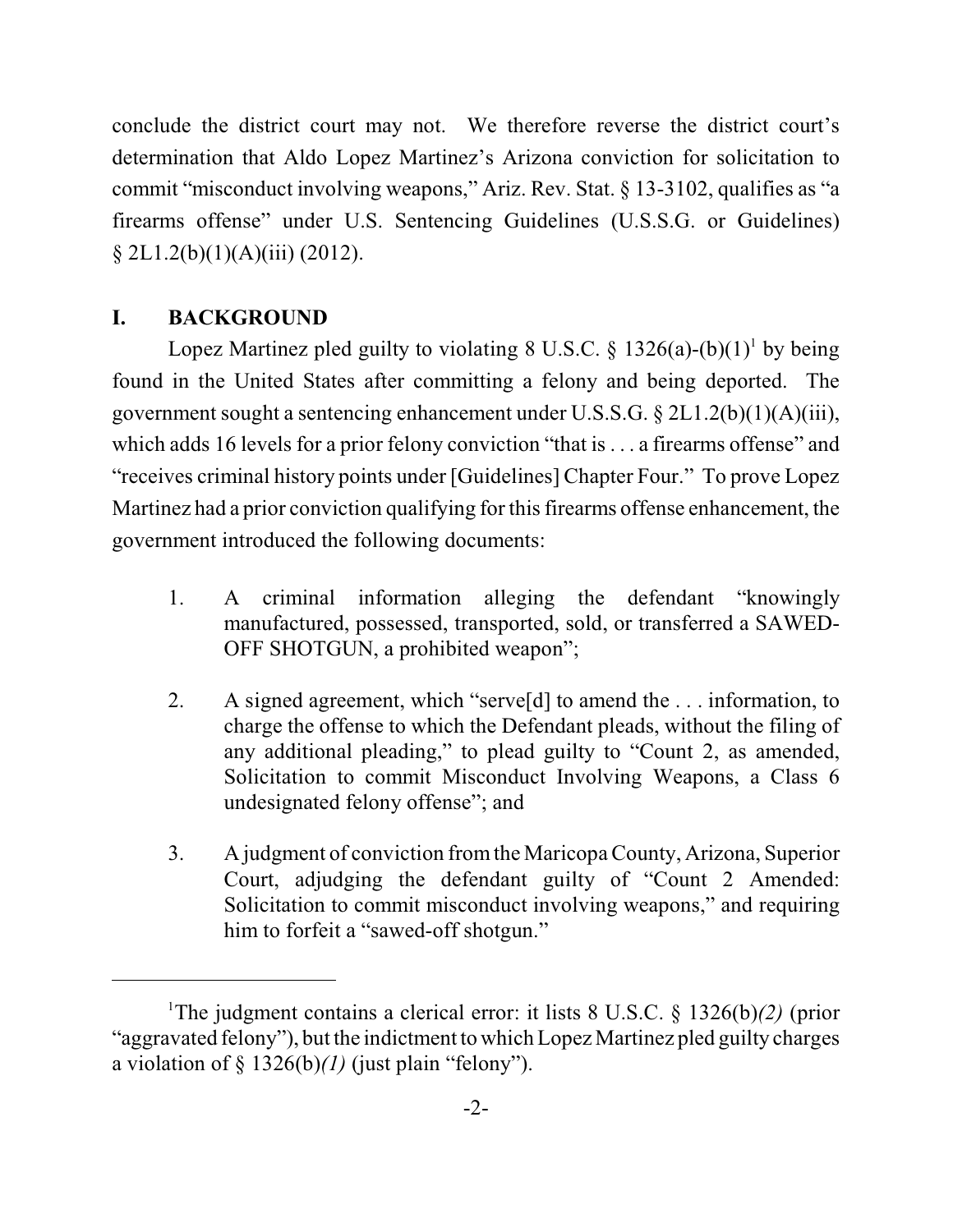conclude the district court may not. We therefore reverse the district court's determination that Aldo Lopez Martinez's Arizona conviction for solicitation to commit "misconduct involving weapons," Ariz. Rev. Stat. § 13-3102, qualifies as "a firearms offense" under U.S. Sentencing Guidelines (U.S.S.G. or Guidelines)  $\S 2L1.2(b)(1)(A)(iii) (2012).$ 

## **I. BACKGROUND**

Lopez Martinez pled guilty to violating 8 U.S.C.  $\S 1326(a)-(b)(1)^{1}$  by being found in the United States after committing a felony and being deported. The government sought a sentencing enhancement under U.S.S.G. § 2L1.2(b)(1)(A)(iii), which adds 16 levels for a prior felony conviction "that is . . . a firearms offense" and "receives criminal history points under [Guidelines] Chapter Four." To prove Lopez Martinez had a prior conviction qualifying for this firearms offense enhancement, the government introduced the following documents:

- 1. A criminal information alleging the defendant "knowingly manufactured, possessed, transported, sold, or transferred a SAWED-OFF SHOTGUN, a prohibited weapon";
- 2. A signed agreement, which "serve[d] to amend the . . . information, to charge the offense to which the Defendant pleads, without the filing of any additional pleading," to plead guilty to "Count 2, as amended, Solicitation to commit Misconduct Involving Weapons, a Class 6 undesignated felony offense"; and
- 3. A judgment of conviction fromthe Maricopa County, Arizona, Superior Court, adjudging the defendant guilty of "Count 2 Amended: Solicitation to commit misconduct involving weapons," and requiring him to forfeit a "sawed-off shotgun."

<sup>&</sup>lt;sup>1</sup>The judgment contains a clerical error: it lists 8 U.S.C. § 1326(b)(2) (prior "aggravated felony"), but the indictment to which Lopez Martinez pled guilty charges a violation of  $\S 1326(b)/l$  (just plain "felony").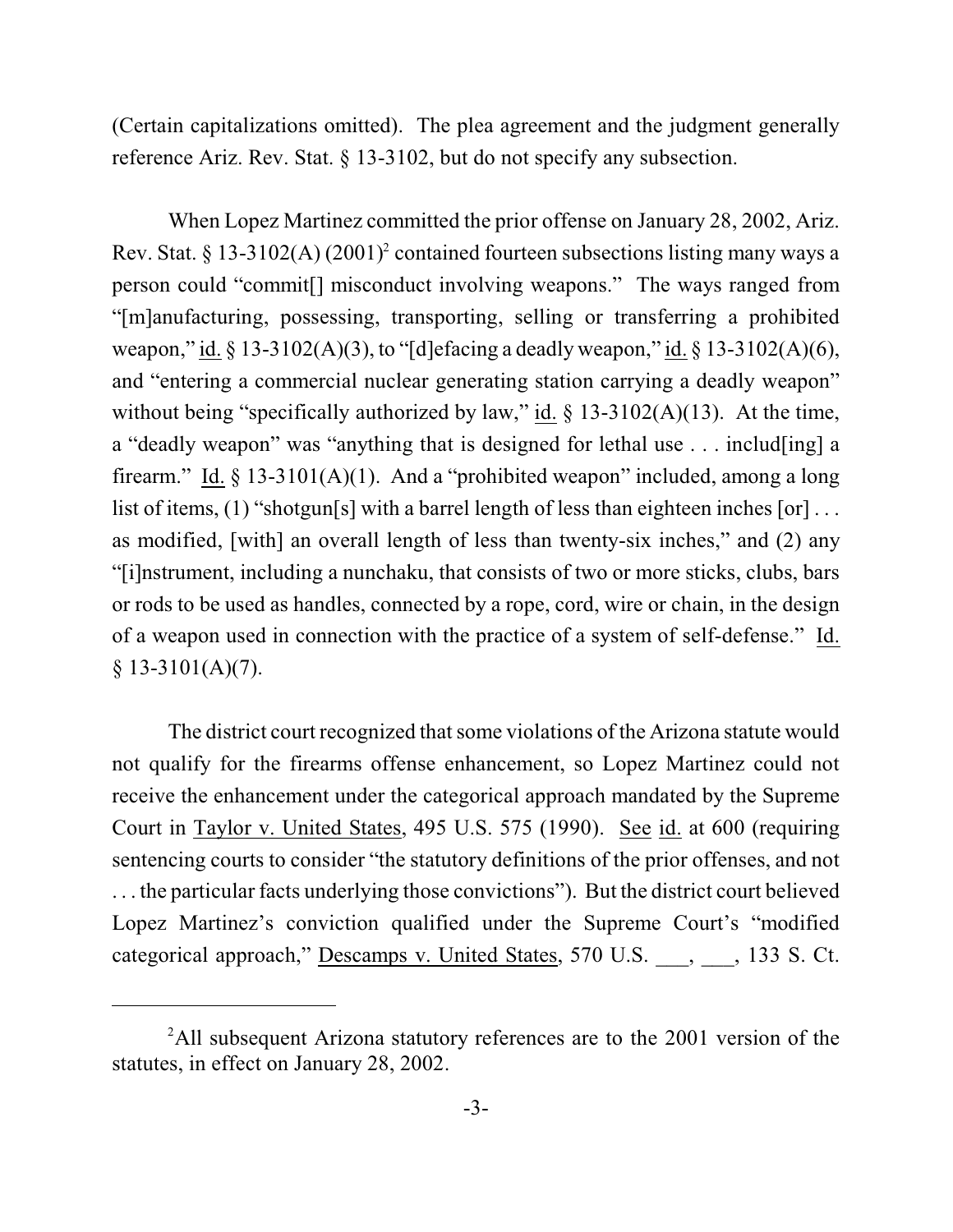(Certain capitalizations omitted). The plea agreement and the judgment generally reference Ariz. Rev. Stat. § 13-3102, but do not specify any subsection.

When Lopez Martinez committed the prior offense on January 28, 2002, Ariz. Rev. Stat. § 13-3102(A)  $(2001)^2$  contained fourteen subsections listing many ways a person could "commit[] misconduct involving weapons." The ways ranged from "[m]anufacturing, possessing, transporting, selling or transferring a prohibited weapon," id.  $\S 13-3102(A)(3)$ , to "[d]efacing a deadly weapon," id.  $\S 13-3102(A)(6)$ , and "entering a commercial nuclear generating station carrying a deadly weapon" without being "specifically authorized by law," id.  $\S$  13-3102(A)(13). At the time, a "deadly weapon" was "anything that is designed for lethal use . . . includ[ing] a firearm." Id.  $\S$  13-3101(A)(1). And a "prohibited weapon" included, among a long list of items, (1) "shotgun[s] with a barrel length of less than eighteen inches [or]... as modified, [with] an overall length of less than twenty-six inches," and (2) any "[i]nstrument, including a nunchaku, that consists of two or more sticks, clubs, bars or rods to be used as handles, connected by a rope, cord, wire or chain, in the design of a weapon used in connection with the practice of a system of self-defense." Id.  $§ 13-3101(A)(7).$ 

The district court recognized that some violations of the Arizona statute would not qualify for the firearms offense enhancement, so Lopez Martinez could not receive the enhancement under the categorical approach mandated by the Supreme Court in Taylor v. United States, 495 U.S. 575 (1990). See id. at 600 (requiring sentencing courts to consider "the statutory definitions of the prior offenses, and not . . . the particular facts underlying those convictions"). But the district court believed Lopez Martinez's conviction qualified under the Supreme Court's "modified categorical approach," Descamps v. United States, 570 U.S. \_\_\_, \_\_\_, 133 S. Ct.

 $2$ All subsequent Arizona statutory references are to the 2001 version of the statutes, in effect on January 28, 2002.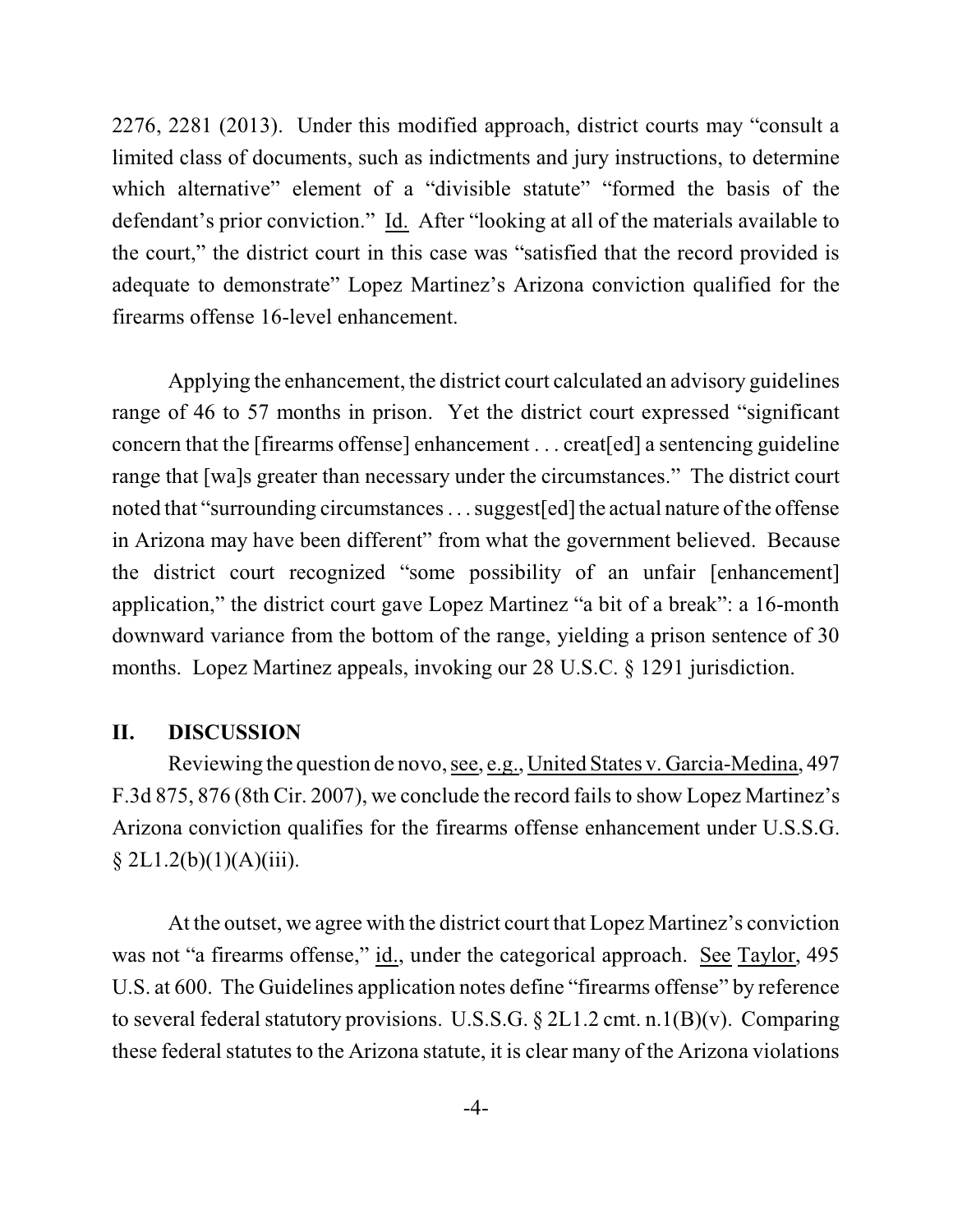2276, 2281 (2013). Under this modified approach, district courts may "consult a limited class of documents, such as indictments and jury instructions, to determine which alternative" element of a "divisible statute" "formed the basis of the defendant's prior conviction." Id. After "looking at all of the materials available to the court," the district court in this case was "satisfied that the record provided is adequate to demonstrate" Lopez Martinez's Arizona conviction qualified for the firearms offense 16-level enhancement.

Applying the enhancement, the district court calculated an advisory guidelines range of 46 to 57 months in prison. Yet the district court expressed "significant concern that the [firearms offense] enhancement . . . creat[ed] a sentencing guideline range that [wa]s greater than necessary under the circumstances." The district court noted that "surrounding circumstances... suggest[ed] the actual nature of the offense in Arizona may have been different" from what the government believed. Because the district court recognized "some possibility of an unfair [enhancement] application," the district court gave Lopez Martinez "a bit of a break": a 16-month downward variance from the bottom of the range, yielding a prison sentence of 30 months. Lopez Martinez appeals, invoking our 28 U.S.C. § 1291 jurisdiction.

## **II. DISCUSSION**

Reviewing the question de novo, see, e.g., United States v. Garcia-Medina, 497 F.3d 875, 876 (8th Cir. 2007), we conclude the record fails to show Lopez Martinez's Arizona conviction qualifies for the firearms offense enhancement under U.S.S.G.  $§ 2L1.2(b)(1)(A)(iii).$ 

At the outset, we agree with the district court that Lopez Martinez's conviction was not "a firearms offense," id., under the categorical approach. See Taylor, 495 U.S. at 600. The Guidelines application notes define "firearms offense" by reference to several federal statutory provisions. U.S.S.G. § 2L1.2 cmt. n.1(B)(v). Comparing these federal statutes to the Arizona statute, it is clear many of the Arizona violations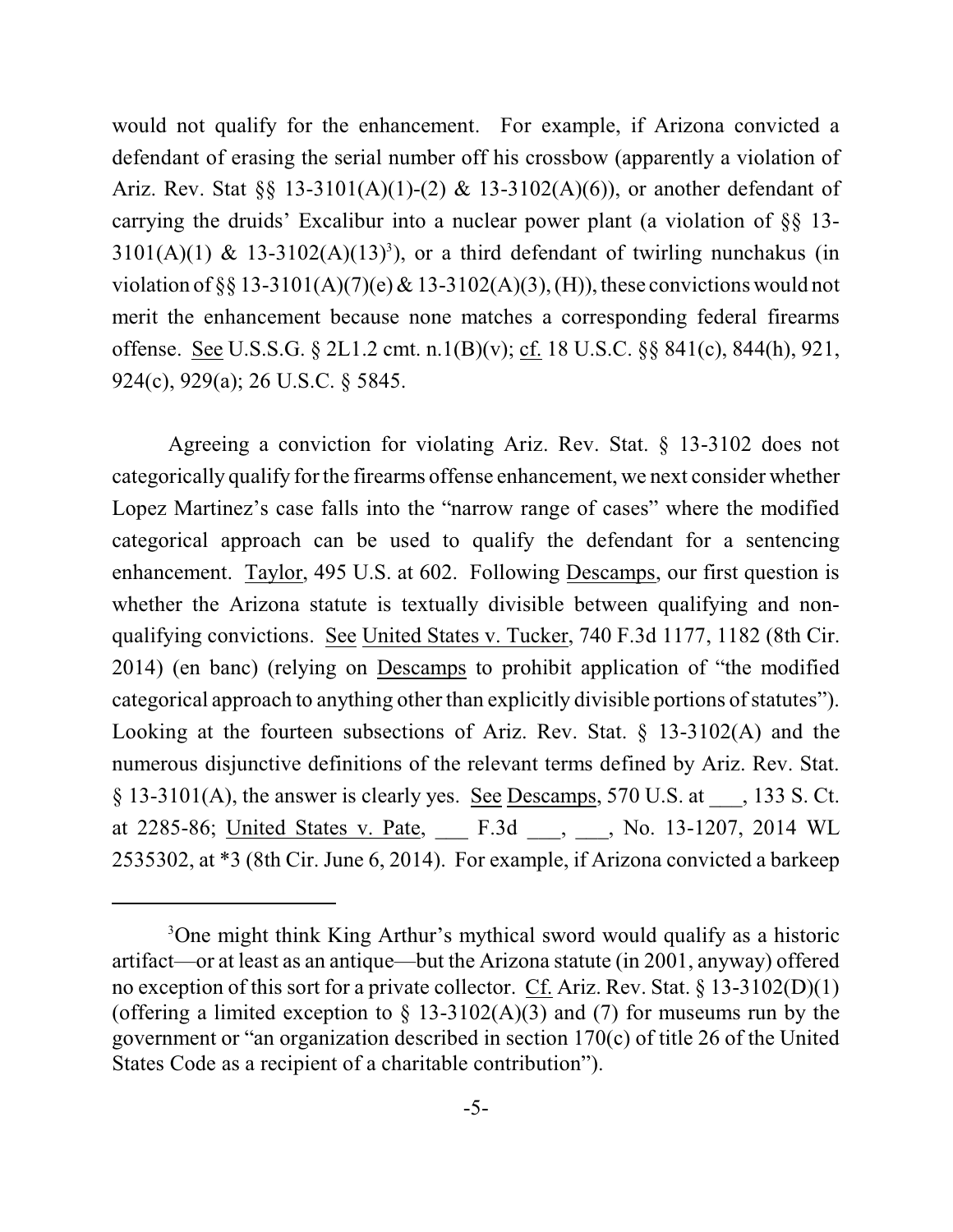would not qualify for the enhancement. For example, if Arizona convicted a defendant of erasing the serial number off his crossbow (apparently a violation of Ariz. Rev. Stat §§ 13-3101(A)(1)-(2) & 13-3102(A)(6)), or another defendant of carrying the druids' Excalibur into a nuclear power plant (a violation of §§ 13- 3101(A)(1) & 13-3102(A)(13)<sup>3</sup>), or a third defendant of twirling nunchakus (in violation of §§ 13-3101(A)(7)(e) & 13-3102(A)(3), (H)), these convictions would not merit the enhancement because none matches a corresponding federal firearms offense. See U.S.S.G. § 2L1.2 cmt. n.1(B)(v); cf. 18 U.S.C. §§ 841(c), 844(h), 921, 924(c), 929(a); 26 U.S.C. § 5845.

Agreeing a conviction for violating Ariz. Rev. Stat. § 13-3102 does not categorically qualify for the firearms offense enhancement, we next consider whether Lopez Martinez's case falls into the "narrow range of cases" where the modified categorical approach can be used to qualify the defendant for a sentencing enhancement. Taylor, 495 U.S. at 602. Following Descamps, our first question is whether the Arizona statute is textually divisible between qualifying and nonqualifying convictions. See United States v. Tucker, 740 F.3d 1177, 1182 (8th Cir. 2014) (en banc) (relying on Descamps to prohibit application of "the modified categorical approach to anything other than explicitly divisible portions of statutes"). Looking at the fourteen subsections of Ariz. Rev. Stat. § 13-3102(A) and the numerous disjunctive definitions of the relevant terms defined by Ariz. Rev. Stat.  $\S$  13-3101(A), the answer is clearly yes. See Descamps, 570 U.S. at  $\qquad$ , 133 S. Ct. at 2285-86; United States v. Pate, F.3d , No. 13-1207, 2014 WL 2535302, at \*3 (8th Cir. June 6, 2014). For example, if Arizona convicted a barkeep

<sup>&</sup>lt;sup>3</sup>One might think King Arthur's mythical sword would qualify as a historic artifact—or at least as an antique—but the Arizona statute (in 2001, anyway) offered no exception of this sort for a private collector. Cf. Ariz. Rev. Stat. § 13-3102(D)(1) (offering a limited exception to  $\S$  13-3102(A)(3) and (7) for museums run by the government or "an organization described in section 170(c) of title 26 of the United States Code as a recipient of a charitable contribution").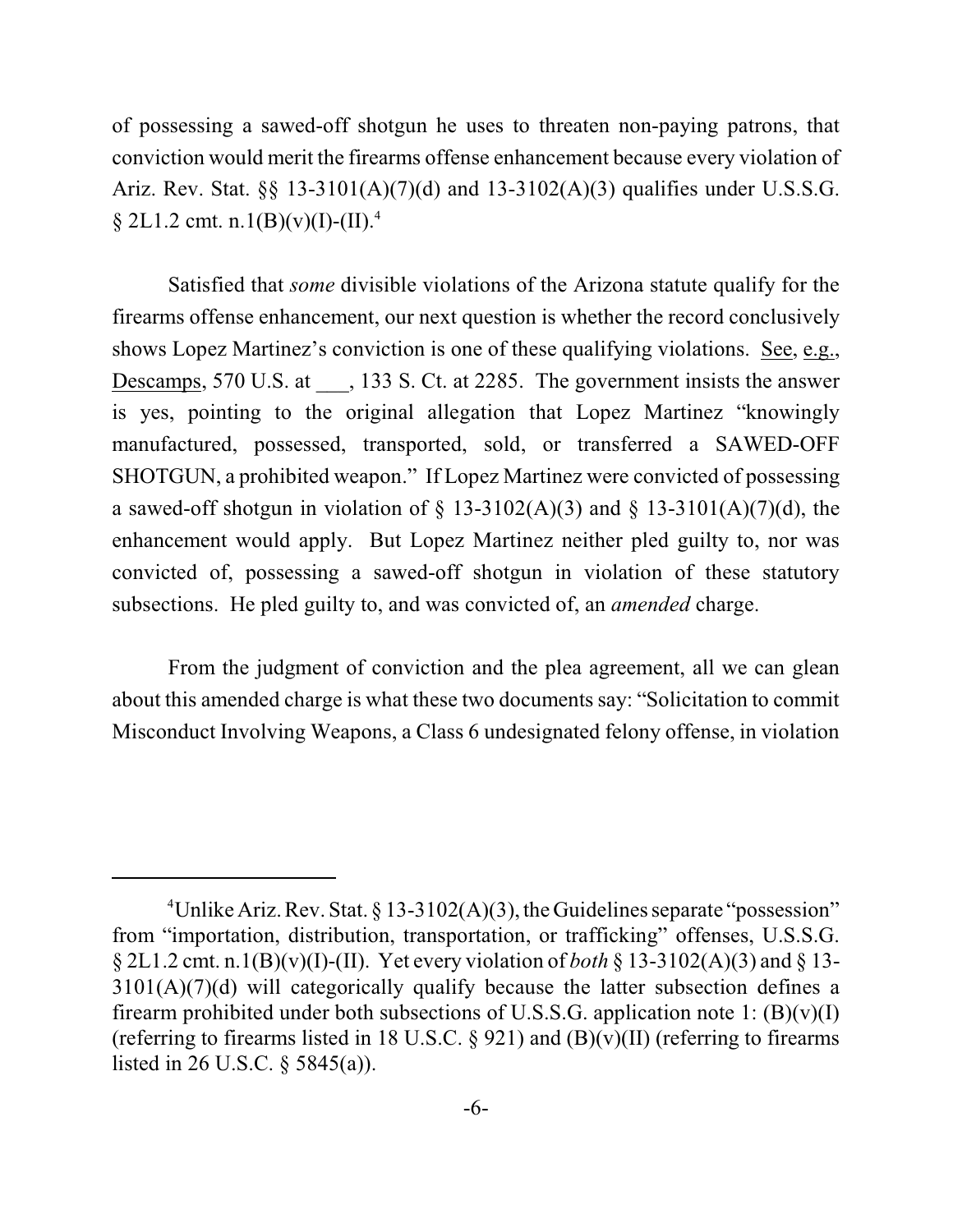of possessing a sawed-off shotgun he uses to threaten non-paying patrons, that conviction would merit the firearms offense enhancement because every violation of Ariz. Rev. Stat. §§ 13-3101(A)(7)(d) and 13-3102(A)(3) qualifies under U.S.S.G.  $\S 2L1.2$  cmt. n.1(B)(v)(I)-(II).<sup>4</sup>

Satisfied that *some* divisible violations of the Arizona statute qualify for the firearms offense enhancement, our next question is whether the record conclusively shows Lopez Martinez's conviction is one of these qualifying violations. See, e.g., Descamps, 570 U.S. at  $\qquad$ , 133 S. Ct. at 2285. The government insists the answer is yes, pointing to the original allegation that Lopez Martinez "knowingly manufactured, possessed, transported, sold, or transferred a SAWED-OFF SHOTGUN, a prohibited weapon." If Lopez Martinez were convicted of possessing a sawed-off shotgun in violation of  $\S$  13-3102(A)(3) and  $\S$  13-3101(A)(7)(d), the enhancement would apply. But Lopez Martinez neither pled guilty to, nor was convicted of, possessing a sawed-off shotgun in violation of these statutory subsections. He pled guilty to, and was convicted of, an *amended* charge.

From the judgment of conviction and the plea agreement, all we can glean about this amended charge is what these two documents say: "Solicitation to commit Misconduct Involving Weapons, a Class 6 undesignated felony offense, in violation

<sup>&</sup>lt;sup>4</sup>Unlike Ariz. Rev. Stat. § 13-3102(A)(3), the Guidelines separate "possession" from "importation, distribution, transportation, or trafficking" offenses, U.S.S.G. § 2L1.2 cmt. n.1(B)(v)(I)-(II). Yet every violation of *both* § 13-3102(A)(3) and § 13- 3101(A)(7)(d) will categorically qualify because the latter subsection defines a firearm prohibited under both subsections of U.S.S.G. application note 1:  $(B)(v)(I)$ (referring to firearms listed in 18 U.S.C.  $\S$  921) and (B)(v)(II) (referring to firearms listed in 26 U.S.C. § 5845(a)).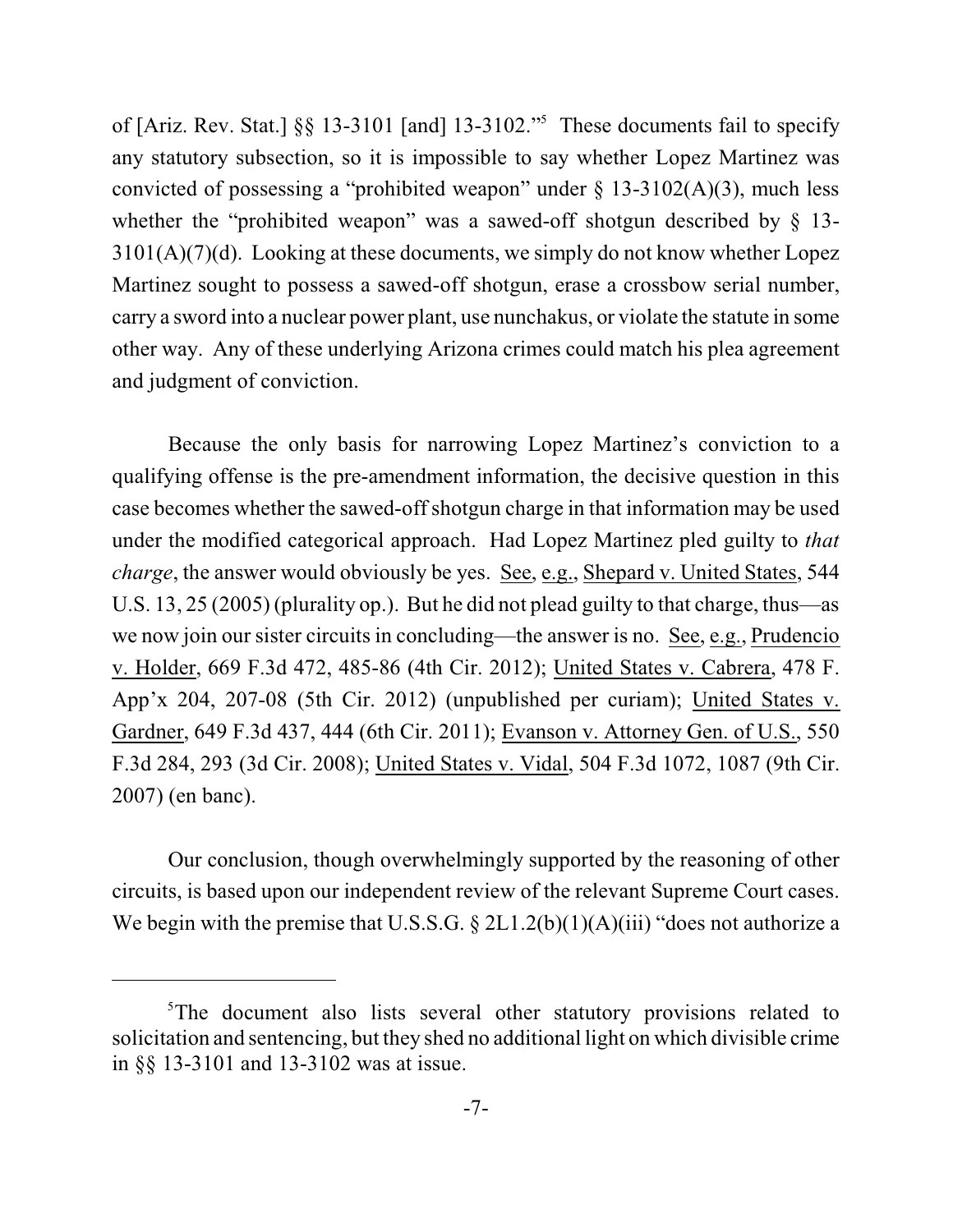of [Ariz. Rev. Stat.]  $\S$ § 13-3101 [and] 13-3102."<sup>5</sup> These documents fail to specify any statutory subsection, so it is impossible to say whether Lopez Martinez was convicted of possessing a "prohibited weapon" under  $\S$  13-3102(A)(3), much less whether the "prohibited weapon" was a sawed-off shotgun described by § 13- $3101(A)(7)(d)$ . Looking at these documents, we simply do not know whether Lopez Martinez sought to possess a sawed-off shotgun, erase a crossbow serial number, carry a sword into a nuclear power plant, use nunchakus, or violate the statute in some other way. Any of these underlying Arizona crimes could match his plea agreement and judgment of conviction.

Because the only basis for narrowing Lopez Martinez's conviction to a qualifying offense is the pre-amendment information, the decisive question in this case becomes whether the sawed-off shotgun charge in that information may be used under the modified categorical approach. Had Lopez Martinez pled guilty to *that charge*, the answer would obviously be yes. See, e.g., Shepard v. United States, 544 U.S. 13, 25 (2005) (plurality op.). But he did not plead guilty to that charge, thus—as we now join our sister circuits in concluding—the answer is no. See, e.g., Prudencio v. Holder, 669 F.3d 472, 485-86 (4th Cir. 2012); United States v. Cabrera, 478 F. App'x 204, 207-08 (5th Cir. 2012) (unpublished per curiam); United States v. Gardner, 649 F.3d 437, 444 (6th Cir. 2011); Evanson v. Attorney Gen. of U.S., 550 F.3d 284, 293 (3d Cir. 2008); United States v. Vidal, 504 F.3d 1072, 1087 (9th Cir. 2007) (en banc).

Our conclusion, though overwhelmingly supported by the reasoning of other circuits, is based upon our independent review of the relevant Supreme Court cases. We begin with the premise that U.S.S.G.  $\S 2L1.2(b)(1)(A)(iii)$  "does not authorize a

<sup>&</sup>lt;sup>5</sup>The document also lists several other statutory provisions related to solicitation and sentencing, but they shed no additional light on which divisible crime in §§ 13-3101 and 13-3102 was at issue.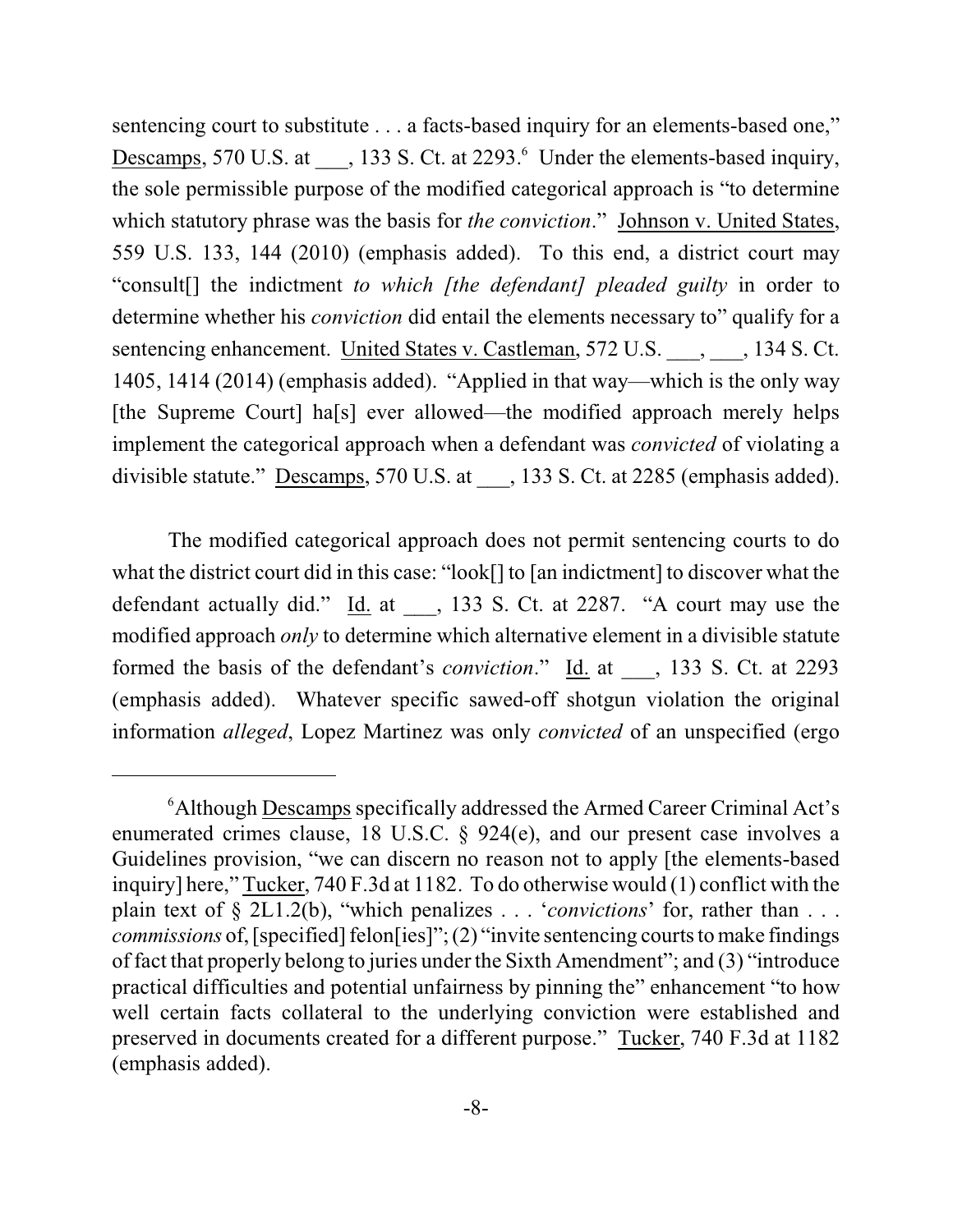sentencing court to substitute . . . a facts-based inquiry for an elements-based one," Descamps, 570 U.S. at  $\qquad$ , 133 S. Ct. at 2293. Under the elements-based inquiry, the sole permissible purpose of the modified categorical approach is "to determine which statutory phrase was the basis for *the conviction*." Johnson v. United States, 559 U.S. 133, 144 (2010) (emphasis added). To this end, a district court may "consult[] the indictment *to which [the defendant] pleaded guilty* in order to determine whether his *conviction* did entail the elements necessary to" qualify for a sentencing enhancement. United States v. Castleman, 572 U.S.  $\qquad$ , 134 S. Ct. 1405, 1414 (2014) (emphasis added). "Applied in that way—which is the only way [the Supreme Court] ha[s] ever allowed—the modified approach merely helps implement the categorical approach when a defendant was *convicted* of violating a divisible statute." Descamps, 570 U.S. at \_\_\_, 133 S. Ct. at 2285 (emphasis added).

The modified categorical approach does not permit sentencing courts to do what the district court did in this case: "look[] to [an indictment] to discover what the defendant actually did."  $\underline{Id}$  at \_\_\_, 133 S. Ct. at 2287. "A court may use the modified approach *only* to determine which alternative element in a divisible statute formed the basis of the defendant's *conviction*." Id. at \_\_\_, 133 S. Ct. at 2293 (emphasis added). Whatever specific sawed-off shotgun violation the original information *alleged*, Lopez Martinez was only *convicted* of an unspecified (ergo

<sup>&</sup>lt;sup>6</sup> Although Descamps specifically addressed the Armed Career Criminal Act's enumerated crimes clause, 18 U.S.C. § 924(e), and our present case involves a Guidelines provision, "we can discern no reason not to apply [the elements-based inquiry] here," Tucker, 740 F.3d at 1182. To do otherwise would (1) conflict with the plain text of § 2L1.2(b), "which penalizes . . . '*convictions*' for, rather than . . . *commissions* of, [specified] felon[ies]"; (2) "invite sentencing courts to make findings of fact that properly belong to juries under the Sixth Amendment"; and (3) "introduce practical difficulties and potential unfairness by pinning the" enhancement "to how well certain facts collateral to the underlying conviction were established and preserved in documents created for a different purpose." Tucker, 740 F.3d at 1182 (emphasis added).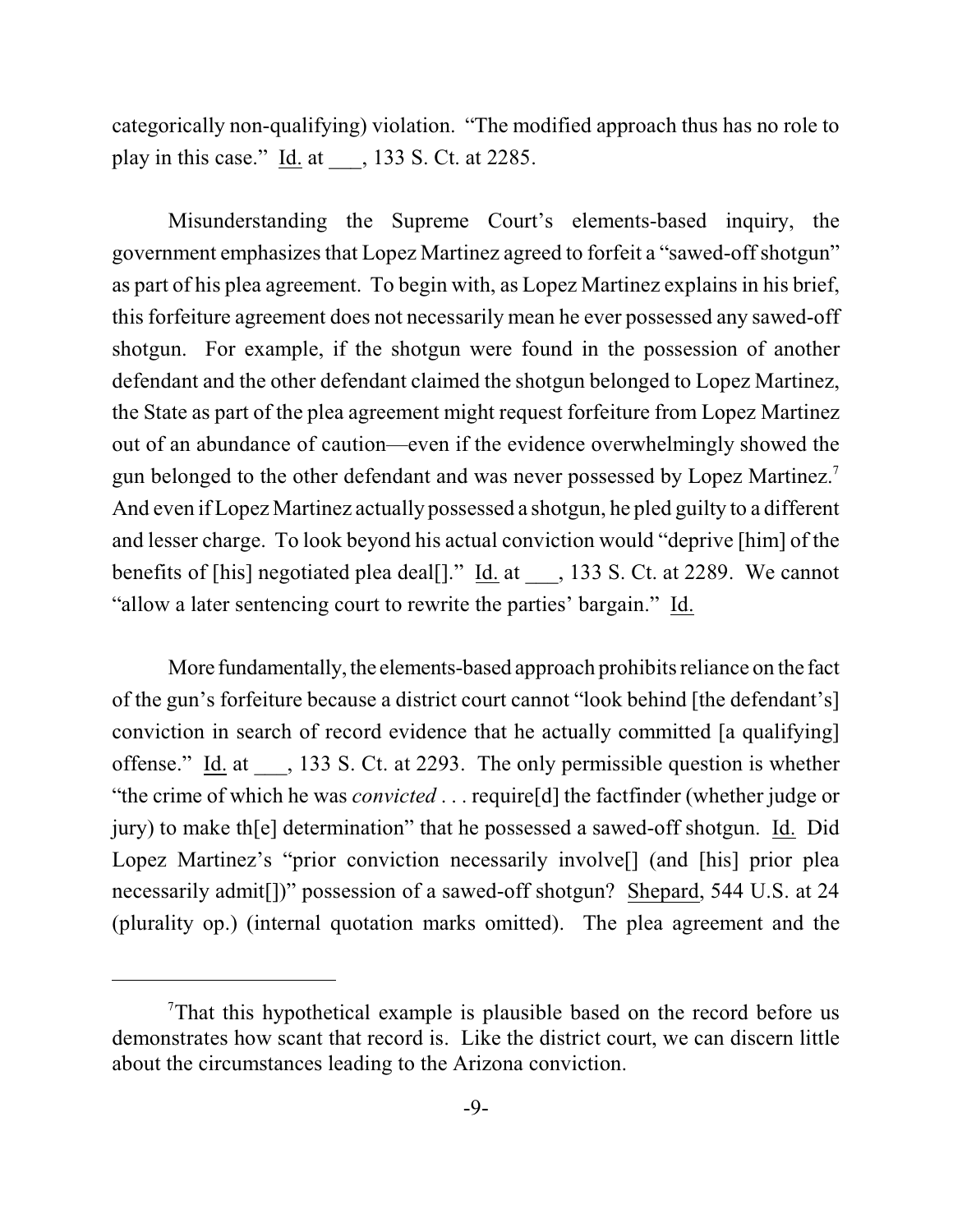categorically non-qualifying) violation. "The modified approach thus has no role to play in this case." Id. at  $\qquad$ , 133 S. Ct. at 2285.

Misunderstanding the Supreme Court's elements-based inquiry, the government emphasizes that Lopez Martinez agreed to forfeit a "sawed-off shotgun" as part of his plea agreement. To begin with, as Lopez Martinez explains in his brief, this forfeiture agreement does not necessarily mean he ever possessed any sawed-off shotgun. For example, if the shotgun were found in the possession of another defendant and the other defendant claimed the shotgun belonged to Lopez Martinez, the State as part of the plea agreement might request forfeiture from Lopez Martinez out of an abundance of caution—even if the evidence overwhelmingly showed the gun belonged to the other defendant and was never possessed by Lopez Martinez.<sup>7</sup> And even if Lopez Martinez actually possessed a shotgun, he pled guilty to a different and lesser charge. To look beyond his actual conviction would "deprive [him] of the benefits of [his] negotiated plea deal[]." Id. at  $\qquad$ , 133 S. Ct. at 2289. We cannot "allow a later sentencing court to rewrite the parties' bargain." Id.

More fundamentally, the elements-based approach prohibits reliance on the fact of the gun's forfeiture because a district court cannot "look behind [the defendant's] conviction in search of record evidence that he actually committed [a qualifying] offense." Id. at \_\_\_, 133 S. Ct. at 2293. The only permissible question is whether "the crime of which he was *convicted* . . . require[d] the factfinder (whether judge or jury) to make th[e] determination" that he possessed a sawed-off shotgun. Id. Did Lopez Martinez's "prior conviction necessarily involve<sup>[]</sup> (and [his] prior plea necessarily admit[])" possession of a sawed-off shotgun? Shepard, 544 U.S. at 24 (plurality op.) (internal quotation marks omitted). The plea agreement and the

<sup>&</sup>lt;sup>7</sup>That this hypothetical example is plausible based on the record before us demonstrates how scant that record is. Like the district court, we can discern little about the circumstances leading to the Arizona conviction.